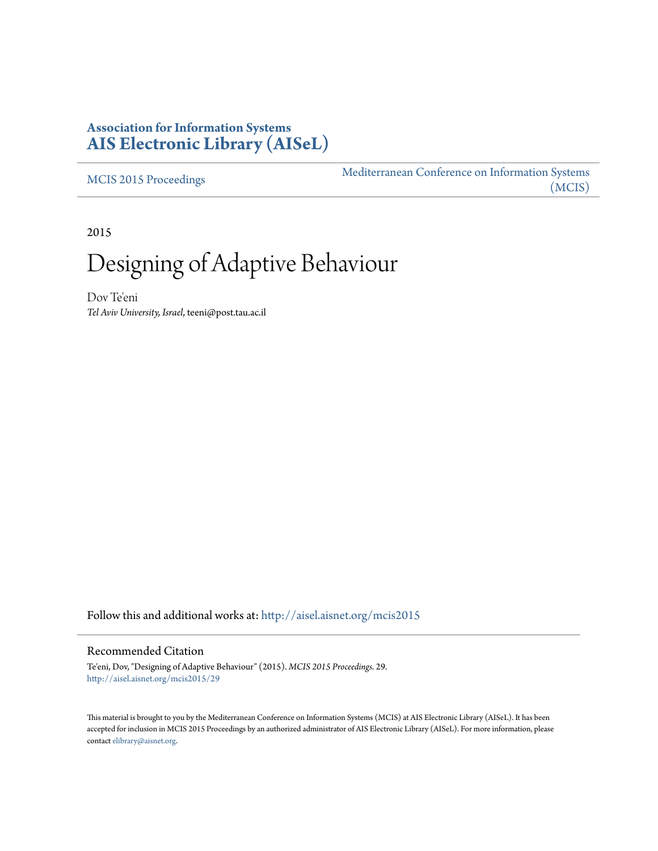## **Association for Information Systems [AIS Electronic Library \(AISeL\)](http://aisel.aisnet.org?utm_source=aisel.aisnet.org%2Fmcis2015%2F29&utm_medium=PDF&utm_campaign=PDFCoverPages)**

[MCIS 2015 Proceedings](http://aisel.aisnet.org/mcis2015?utm_source=aisel.aisnet.org%2Fmcis2015%2F29&utm_medium=PDF&utm_campaign=PDFCoverPages)

[Mediterranean Conference on Information Systems](http://aisel.aisnet.org/mcis?utm_source=aisel.aisnet.org%2Fmcis2015%2F29&utm_medium=PDF&utm_campaign=PDFCoverPages) [\(MCIS\)](http://aisel.aisnet.org/mcis?utm_source=aisel.aisnet.org%2Fmcis2015%2F29&utm_medium=PDF&utm_campaign=PDFCoverPages)

2015

# Designing of Adaptive Behaviour

Dov Te'eni *Tel Aviv University, Israel*, teeni@post.tau.ac.il

Follow this and additional works at: [http://aisel.aisnet.org/mcis2015](http://aisel.aisnet.org/mcis2015?utm_source=aisel.aisnet.org%2Fmcis2015%2F29&utm_medium=PDF&utm_campaign=PDFCoverPages)

#### Recommended Citation

Te'eni, Dov, "Designing of Adaptive Behaviour" (2015). *MCIS 2015 Proceedings*. 29. [http://aisel.aisnet.org/mcis2015/29](http://aisel.aisnet.org/mcis2015/29?utm_source=aisel.aisnet.org%2Fmcis2015%2F29&utm_medium=PDF&utm_campaign=PDFCoverPages)

This material is brought to you by the Mediterranean Conference on Information Systems (MCIS) at AIS Electronic Library (AISeL). It has been accepted for inclusion in MCIS 2015 Proceedings by an authorized administrator of AIS Electronic Library (AISeL). For more information, please contact [elibrary@aisnet.org.](mailto:elibrary@aisnet.org%3E)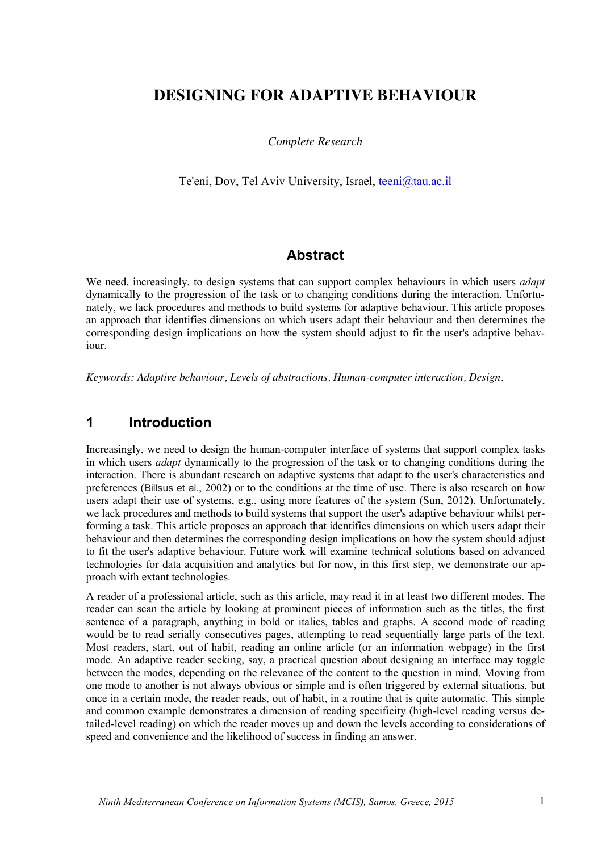# **DESIGNING FOR ADAPTIVE BEHAVIOUR**

#### *Complete Research*

Te'eni, Dov, Tel Aviv University, Israel, teeni@tau.ac.il

#### **Abstract**

We need, increasingly, to design systems that can support complex behaviours in which users *adapt* dynamically to the progression of the task or to changing conditions during the interaction. Unfortunately, we lack procedures and methods to build systems for adaptive behaviour. This article proposes an approach that identifies dimensions on which users adapt their behaviour and then determines the corresponding design implications on how the system should adjust to fit the user's adaptive behaviour.

*Keywords: Adaptive behaviour, Levels of abstractions, Human-computer interaction, Design.*

#### **1 Introduction**

Increasingly, we need to design the human-computer interface of systems that support complex tasks in which users *adapt* dynamically to the progression of the task or to changing conditions during the interaction. There is abundant research on adaptive systems that adapt to the user's characteristics and preferences (Billsus et al., 2002) or to the conditions at the time of use. There is also research on how users adapt their use of systems, e.g., using more features of the system (Sun, 2012). Unfortunately, we lack procedures and methods to build systems that support the user's adaptive behaviour whilst performing a task. This article proposes an approach that identifies dimensions on which users adapt their behaviour and then determines the corresponding design implications on how the system should adjust to fit the user's adaptive behaviour. Future work will examine technical solutions based on advanced technologies for data acquisition and analytics but for now, in this first step, we demonstrate our approach with extant technologies.

A reader of a professional article, such as this article, may read it in at least two different modes. The reader can scan the article by looking at prominent pieces of information such as the titles, the first sentence of a paragraph, anything in bold or italics, tables and graphs. A second mode of reading would be to read serially consecutives pages, attempting to read sequentially large parts of the text. Most readers, start, out of habit, reading an online article (or an information webpage) in the first mode. An adaptive reader seeking, say, a practical question about designing an interface may toggle between the modes, depending on the relevance of the content to the question in mind. Moving from one mode to another is not always obvious or simple and is often triggered by external situations, but once in a certain mode, the reader reads, out of habit, in a routine that is quite automatic. This simple and common example demonstrates a dimension of reading specificity (high-level reading versus detailed-level reading) on which the reader moves up and down the levels according to considerations of speed and convenience and the likelihood of success in finding an answer.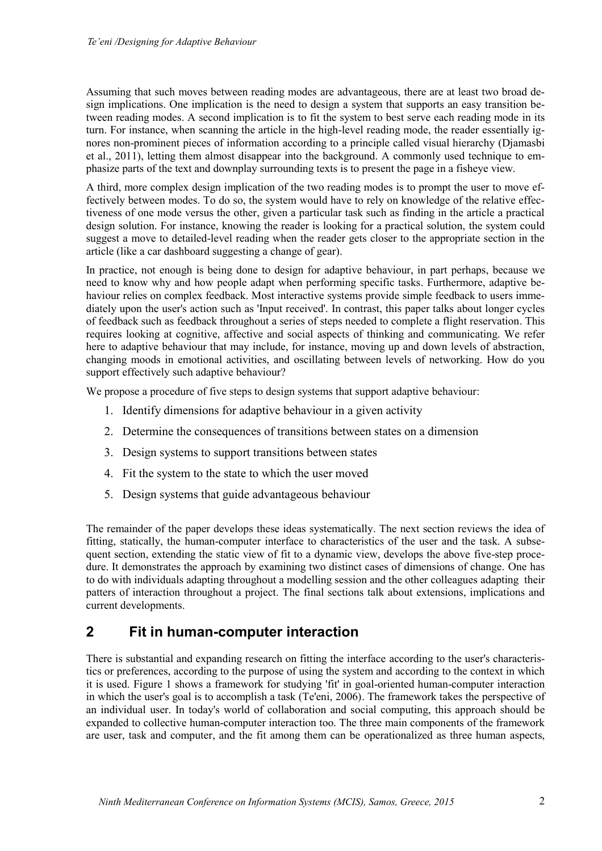Assuming that such moves between reading modes are advantageous, there are at least two broad design implications. One implication is the need to design a system that supports an easy transition between reading modes. A second implication is to fit the system to best serve each reading mode in its turn. For instance, when scanning the article in the high-level reading mode, the reader essentially ignores non-prominent pieces of information according to a principle called visual hierarchy (Djamasbi et al., 2011), letting them almost disappear into the background. A commonly used technique to emphasize parts of the text and downplay surrounding texts is to present the page in a fisheye view.

A third, more complex design implication of the two reading modes is to prompt the user to move effectively between modes. To do so, the system would have to rely on knowledge of the relative effectiveness of one mode versus the other, given a particular task such as finding in the article a practical design solution. For instance, knowing the reader is looking for a practical solution, the system could suggest a move to detailed-level reading when the reader gets closer to the appropriate section in the article (like a car dashboard suggesting a change of gear).

In practice, not enough is being done to design for adaptive behaviour, in part perhaps, because we need to know why and how people adapt when performing specific tasks. Furthermore, adaptive behaviour relies on complex feedback. Most interactive systems provide simple feedback to users immediately upon the user's action such as 'Input received'. In contrast, this paper talks about longer cycles of feedback such as feedback throughout a series of steps needed to complete a flight reservation. This requires looking at cognitive, affective and social aspects of thinking and communicating. We refer here to adaptive behaviour that may include, for instance, moving up and down levels of abstraction, changing moods in emotional activities, and oscillating between levels of networking. How do you support effectively such adaptive behaviour?

We propose a procedure of five steps to design systems that support adaptive behaviour:

- 1. Identify dimensions for adaptive behaviour in a given activity
- 2. Determine the consequences of transitions between states on a dimension
- 3. Design systems to support transitions between states
- 4. Fit the system to the state to which the user moved
- 5. Design systems that guide advantageous behaviour

The remainder of the paper develops these ideas systematically. The next section reviews the idea of fitting, statically, the human-computer interface to characteristics of the user and the task. A subsequent section, extending the static view of fit to a dynamic view, develops the above five-step procedure. It demonstrates the approach by examining two distinct cases of dimensions of change. One has to do with individuals adapting throughout a modelling session and the other colleagues adapting their patters of interaction throughout a project. The final sections talk about extensions, implications and current developments.

## **2 Fit in human-computer interaction**

There is substantial and expanding research on fitting the interface according to the user's characteristics or preferences, according to the purpose of using the system and according to the context in which it is used. Figure 1 shows a framework for studying 'fit' in goal-oriented human-computer interaction in which the user's goal is to accomplish a task (Te'eni, 2006). The framework takes the perspective of an individual user. In today's world of collaboration and social computing, this approach should be expanded to collective human-computer interaction too. The three main components of the framework are user, task and computer, and the fit among them can be operationalized as three human aspects,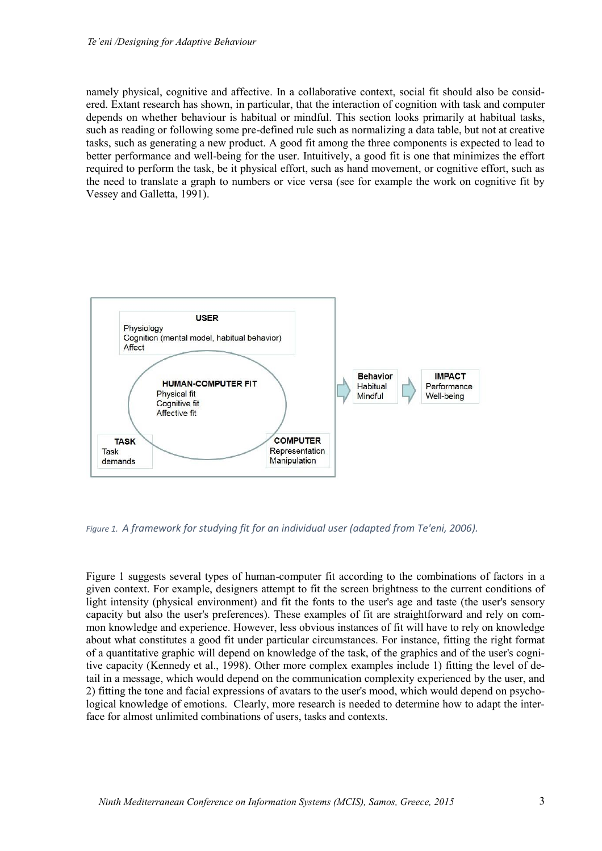namely physical, cognitive and affective. In a collaborative context, social fit should also be considered. Extant research has shown, in particular, that the interaction of cognition with task and computer depends on whether behaviour is habitual or mindful. This section looks primarily at habitual tasks, such as reading or following some pre-defined rule such as normalizing a data table, but not at creative tasks, such as generating a new product. A good fit among the three components is expected to lead to better performance and well-being for the user. Intuitively, a good fit is one that minimizes the effort required to perform the task, be it physical effort, such as hand movement, or cognitive effort, such as the need to translate a graph to numbers or vice versa (see for example the work on cognitive fit by Vessey and Galletta, 1991).



*Figure 1. A framework for studying fit for an individual user (adapted from Te'eni, 2006).*

Figure 1 suggests several types of human-computer fit according to the combinations of factors in a given context. For example, designers attempt to fit the screen brightness to the current conditions of light intensity (physical environment) and fit the fonts to the user's age and taste (the user's sensory capacity but also the user's preferences). These examples of fit are straightforward and rely on common knowledge and experience. However, less obvious instances of fit will have to rely on knowledge about what constitutes a good fit under particular circumstances. For instance, fitting the right format of a quantitative graphic will depend on knowledge of the task, of the graphics and of the user's cognitive capacity (Kennedy et al., 1998). Other more complex examples include 1) fitting the level of detail in a message, which would depend on the communication complexity experienced by the user, and 2) fitting the tone and facial expressions of avatars to the user's mood, which would depend on psychological knowledge of emotions. Clearly, more research is needed to determine how to adapt the interface for almost unlimited combinations of users, tasks and contexts.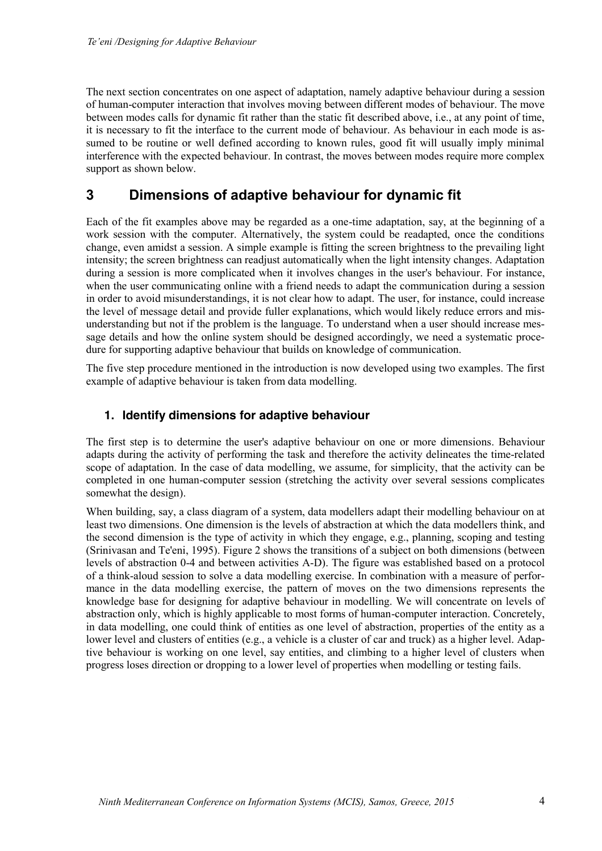The next section concentrates on one aspect of adaptation, namely adaptive behaviour during a session of human-computer interaction that involves moving between different modes of behaviour. The move between modes calls for dynamic fit rather than the static fit described above, i.e., at any point of time, it is necessary to fit the interface to the current mode of behaviour. As behaviour in each mode is assumed to be routine or well defined according to known rules, good fit will usually imply minimal interference with the expected behaviour. In contrast, the moves between modes require more complex support as shown below.

## **3 Dimensions of adaptive behaviour for dynamic fit**

Each of the fit examples above may be regarded as a one-time adaptation, say, at the beginning of a work session with the computer. Alternatively, the system could be readapted, once the conditions change, even amidst a session. A simple example is fitting the screen brightness to the prevailing light intensity; the screen brightness can readjust automatically when the light intensity changes. Adaptation during a session is more complicated when it involves changes in the user's behaviour. For instance, when the user communicating online with a friend needs to adapt the communication during a session in order to avoid misunderstandings, it is not clear how to adapt. The user, for instance, could increase the level of message detail and provide fuller explanations, which would likely reduce errors and misunderstanding but not if the problem is the language. To understand when a user should increase message details and how the online system should be designed accordingly, we need a systematic procedure for supporting adaptive behaviour that builds on knowledge of communication.

The five step procedure mentioned in the introduction is now developed using two examples. The first example of adaptive behaviour is taken from data modelling.

#### **1. Identify dimensions for adaptive behaviour**

The first step is to determine the user's adaptive behaviour on one or more dimensions. Behaviour adapts during the activity of performing the task and therefore the activity delineates the time-related scope of adaptation. In the case of data modelling, we assume, for simplicity, that the activity can be completed in one human-computer session (stretching the activity over several sessions complicates somewhat the design).

When building, say, a class diagram of a system, data modellers adapt their modelling behaviour on at least two dimensions. One dimension is the levels of abstraction at which the data modellers think, and the second dimension is the type of activity in which they engage, e.g., planning, scoping and testing (Srinivasan and Te'eni, 1995). Figure 2 shows the transitions of a subject on both dimensions (between levels of abstraction 0-4 and between activities A-D). The figure was established based on a protocol of a think-aloud session to solve a data modelling exercise. In combination with a measure of performance in the data modelling exercise, the pattern of moves on the two dimensions represents the knowledge base for designing for adaptive behaviour in modelling. We will concentrate on levels of abstraction only, which is highly applicable to most forms of human-computer interaction. Concretely, in data modelling, one could think of entities as one level of abstraction, properties of the entity as a lower level and clusters of entities (e.g., a vehicle is a cluster of car and truck) as a higher level. Adaptive behaviour is working on one level, say entities, and climbing to a higher level of clusters when progress loses direction or dropping to a lower level of properties when modelling or testing fails.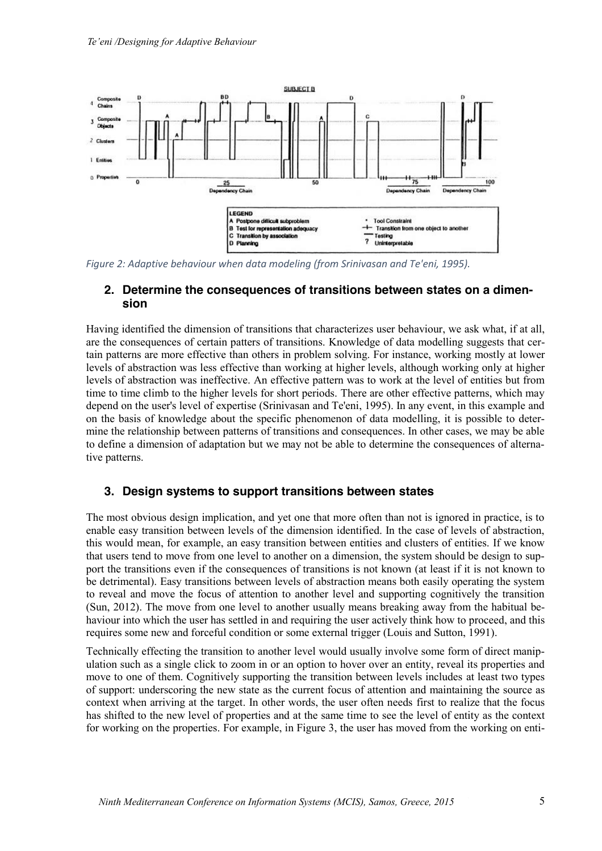

*Figure 2: Adaptive behaviour when data modeling (from Srinivasan and Te'eni, 1995).*

#### **2. Determine the consequences of transitions between states on a dimension**

Having identified the dimension of transitions that characterizes user behaviour, we ask what, if at all, are the consequences of certain patters of transitions. Knowledge of data modelling suggests that certain patterns are more effective than others in problem solving. For instance, working mostly at lower levels of abstraction was less effective than working at higher levels, although working only at higher levels of abstraction was ineffective. An effective pattern was to work at the level of entities but from time to time climb to the higher levels for short periods. There are other effective patterns, which may depend on the user's level of expertise (Srinivasan and Te'eni, 1995). In any event, in this example and on the basis of knowledge about the specific phenomenon of data modelling, it is possible to determine the relationship between patterns of transitions and consequences. In other cases, we may be able to define a dimension of adaptation but we may not be able to determine the consequences of alternative patterns.

#### **3. Design systems to support transitions between states**

The most obvious design implication, and yet one that more often than not is ignored in practice, is to enable easy transition between levels of the dimension identified. In the case of levels of abstraction, this would mean, for example, an easy transition between entities and clusters of entities. If we know that users tend to move from one level to another on a dimension, the system should be design to support the transitions even if the consequences of transitions is not known (at least if it is not known to be detrimental). Easy transitions between levels of abstraction means both easily operating the system to reveal and move the focus of attention to another level and supporting cognitively the transition (Sun, 2012). The move from one level to another usually means breaking away from the habitual behaviour into which the user has settled in and requiring the user actively think how to proceed, and this requires some new and forceful condition or some external trigger (Louis and Sutton, 1991).

Technically effecting the transition to another level would usually involve some form of direct manipulation such as a single click to zoom in or an option to hover over an entity, reveal its properties and move to one of them. Cognitively supporting the transition between levels includes at least two types of support: underscoring the new state as the current focus of attention and maintaining the source as context when arriving at the target. In other words, the user often needs first to realize that the focus has shifted to the new level of properties and at the same time to see the level of entity as the context for working on the properties. For example, in Figure 3, the user has moved from the working on enti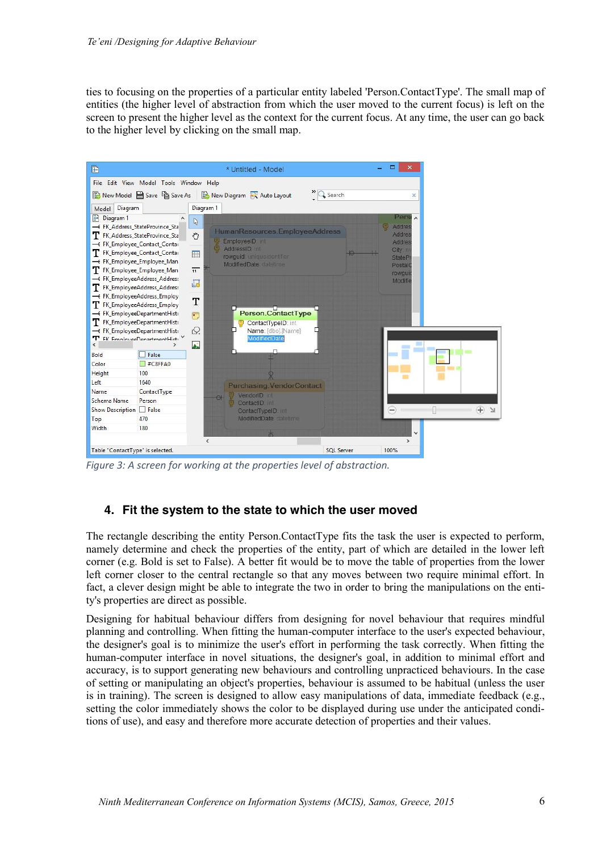ties to focusing on the properties of a particular entity labeled 'Person.ContactType'. The small map of entities (the higher level of abstraction from which the user moved to the current focus) is left on the screen to present the higher level as the context for the current focus. At any time, the user can go back to the higher level by clicking on the small map.



*Figure 3: A screen for working at the properties level of abstraction.*

#### **4. Fit the system to the state to which the user moved**

The rectangle describing the entity Person.ContactType fits the task the user is expected to perform, namely determine and check the properties of the entity, part of which are detailed in the lower left corner (e.g. Bold is set to False). A better fit would be to move the table of properties from the lower left corner closer to the central rectangle so that any moves between two require minimal effort. In fact, a clever design might be able to integrate the two in order to bring the manipulations on the entity's properties are direct as possible.

Designing for habitual behaviour differs from designing for novel behaviour that requires mindful planning and controlling. When fitting the human-computer interface to the user's expected behaviour, the designer's goal is to minimize the user's effort in performing the task correctly. When fitting the human-computer interface in novel situations, the designer's goal, in addition to minimal effort and accuracy, is to support generating new behaviours and controlling unpracticed behaviours. In the case of setting or manipulating an object's properties, behaviour is assumed to be habitual (unless the user is in training). The screen is designed to allow easy manipulations of data, immediate feedback (e.g., setting the color immediately shows the color to be displayed during use under the anticipated conditions of use), and easy and therefore more accurate detection of properties and their values.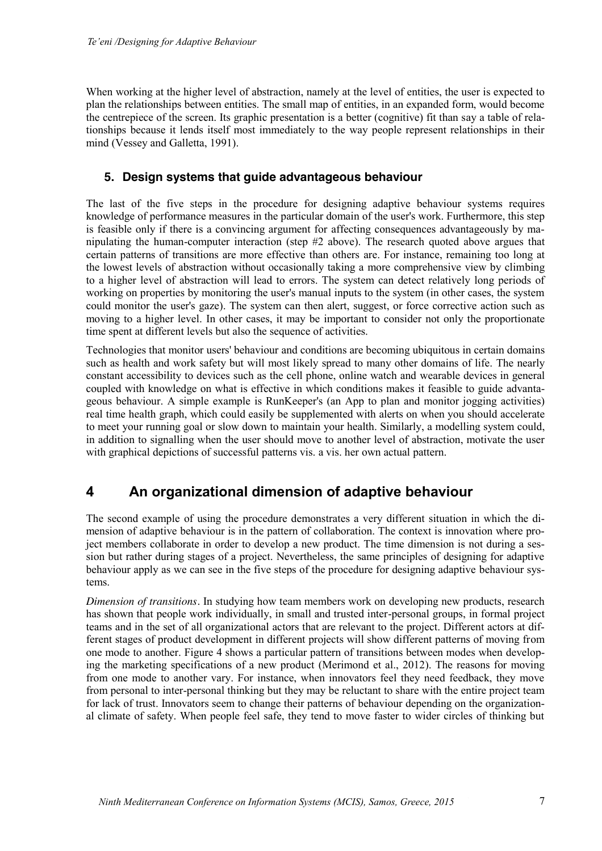When working at the higher level of abstraction, namely at the level of entities, the user is expected to plan the relationships between entities. The small map of entities, in an expanded form, would become the centrepiece of the screen. Its graphic presentation is a better (cognitive) fit than say a table of relationships because it lends itself most immediately to the way people represent relationships in their mind (Vessey and Galletta, 1991).

#### **5. Design systems that guide advantageous behaviour**

The last of the five steps in the procedure for designing adaptive behaviour systems requires knowledge of performance measures in the particular domain of the user's work. Furthermore, this step is feasible only if there is a convincing argument for affecting consequences advantageously by manipulating the human-computer interaction (step #2 above). The research quoted above argues that certain patterns of transitions are more effective than others are. For instance, remaining too long at the lowest levels of abstraction without occasionally taking a more comprehensive view by climbing to a higher level of abstraction will lead to errors. The system can detect relatively long periods of working on properties by monitoring the user's manual inputs to the system (in other cases, the system could monitor the user's gaze). The system can then alert, suggest, or force corrective action such as moving to a higher level. In other cases, it may be important to consider not only the proportionate time spent at different levels but also the sequence of activities.

Technologies that monitor users' behaviour and conditions are becoming ubiquitous in certain domains such as health and work safety but will most likely spread to many other domains of life. The nearly constant accessibility to devices such as the cell phone, online watch and wearable devices in general coupled with knowledge on what is effective in which conditions makes it feasible to guide advantageous behaviour. A simple example is RunKeeper's (an App to plan and monitor jogging activities) real time health graph, which could easily be supplemented with alerts on when you should accelerate to meet your running goal or slow down to maintain your health. Similarly, a modelling system could, in addition to signalling when the user should move to another level of abstraction, motivate the user with graphical depictions of successful patterns vis. a vis. her own actual pattern.

## **4 An organizational dimension of adaptive behaviour**

The second example of using the procedure demonstrates a very different situation in which the dimension of adaptive behaviour is in the pattern of collaboration. The context is innovation where project members collaborate in order to develop a new product. The time dimension is not during a session but rather during stages of a project. Nevertheless, the same principles of designing for adaptive behaviour apply as we can see in the five steps of the procedure for designing adaptive behaviour systems.

*Dimension of transitions.* In studying how team members work on developing new products, research has shown that people work individually, in small and trusted inter-personal groups, in formal project teams and in the set of all organizational actors that are relevant to the project. Different actors at different stages of product development in different projects will show different patterns of moving from one mode to another. Figure 4 shows a particular pattern of transitions between modes when developing the marketing specifications of a new product (Merimond et al., 2012). The reasons for moving from one mode to another vary. For instance, when innovators feel they need feedback, they move from personal to inter-personal thinking but they may be reluctant to share with the entire project team for lack of trust. Innovators seem to change their patterns of behaviour depending on the organizational climate of safety. When people feel safe, they tend to move faster to wider circles of thinking but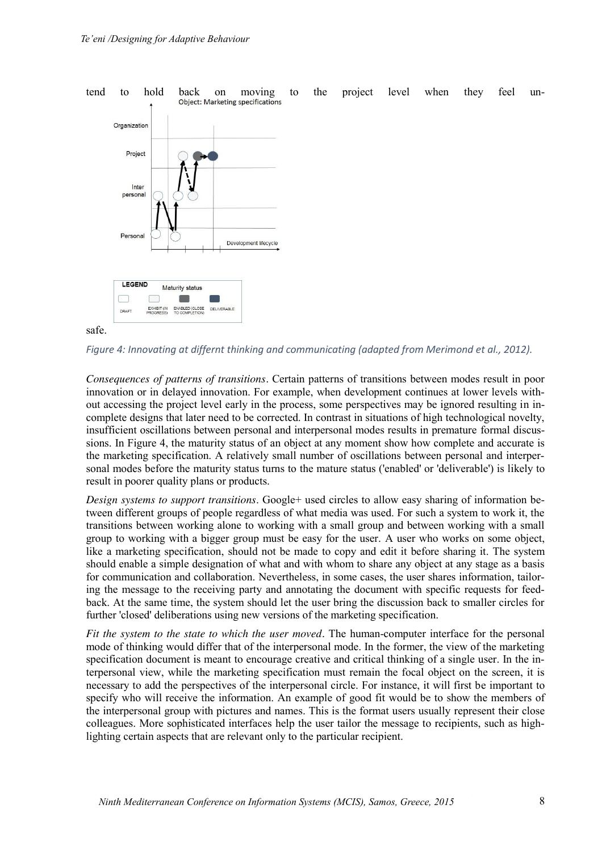

safe.

*Figure 4: Innovating at differnt thinking and communicating (adapted from Merimond et al., 2012).*

*Consequences of patterns of transitions.* Certain patterns of transitions between modes result in poor innovation or in delayed innovation. For example, when development continues at lower levels without accessing the project level early in the process, some perspectives may be ignored resulting in incomplete designs that later need to be corrected. In contrast in situations of high technological novelty, insufficient oscillations between personal and interpersonal modes results in premature formal discussions. In Figure 4, the maturity status of an object at any moment show how complete and accurate is the marketing specification. A relatively small number of oscillations between personal and interpersonal modes before the maturity status turns to the mature status ('enabled' or 'deliverable') is likely to result in poorer quality plans or products.

*Design systems to support transitions*. Google+ used circles to allow easy sharing of information between different groups of people regardless of what media was used. For such a system to work it, the transitions between working alone to working with a small group and between working with a small group to working with a bigger group must be easy for the user. A user who works on some object, like a marketing specification, should not be made to copy and edit it before sharing it. The system should enable a simple designation of what and with whom to share any object at any stage as a basis for communication and collaboration. Nevertheless, in some cases, the user shares information, tailoring the message to the receiving party and annotating the document with specific requests for feedback. At the same time, the system should let the user bring the discussion back to smaller circles for further 'closed' deliberations using new versions of the marketing specification.

*Fit the system to the state to which the user moved.* The human-computer interface for the personal mode of thinking would differ that of the interpersonal mode. In the former, the view of the marketing specification document is meant to encourage creative and critical thinking of a single user. In the interpersonal view, while the marketing specification must remain the focal object on the screen, it is necessary to add the perspectives of the interpersonal circle. For instance, it will first be important to specify who will receive the information. An example of good fit would be to show the members of the interpersonal group with pictures and names. This is the format users usually represent their close colleagues. More sophisticated interfaces help the user tailor the message to recipients, such as highlighting certain aspects that are relevant only to the particular recipient.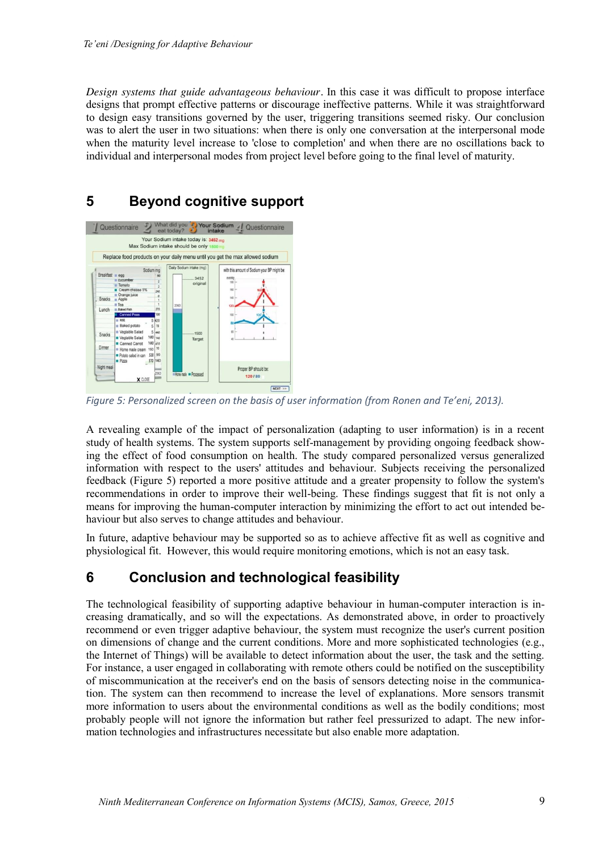*Design systems that guide advantageous behaviour.* In this case it was difficult to propose interface designs that prompt effective patterns or discourage ineffective patterns. While it was straightforward to design easy transitions governed by the user, triggering transitions seemed risky. Our conclusion was to alert the user in two situations: when there is only one conversation at the interpersonal mode when the maturity level increase to 'close to completion' and when there are no oscillations back to individual and interpersonal modes from project level before going to the final level of maturity.

## **5 Beyond cognitive support**



*Figure 5: Personalized screen on the basis of user information (from Ronen and Te'eni, 2013).*

A revealing example of the impact of personalization (adapting to user information) is in a recent study of health systems. The system supports self-management by providing ongoing feedback showing the effect of food consumption on health. The study compared personalized versus generalized information with respect to the users' attitudes and behaviour. Subjects receiving the personalized feedback (Figure 5) reported a more positive attitude and a greater propensity to follow the system's recommendations in order to improve their well-being. These findings suggest that fit is not only a means for improving the human-computer interaction by minimizing the effort to act out intended behaviour but also serves to change attitudes and behaviour.

In future, adaptive behaviour may be supported so as to achieve affective fit as well as cognitive and physiological fit. However, this would require monitoring emotions, which is not an easy task.

# **6 Conclusion and technological feasibility**

The technological feasibility of supporting adaptive behaviour in human-computer interaction is increasing dramatically, and so will the expectations. As demonstrated above, in order to proactively recommend or even trigger adaptive behaviour, the system must recognize the user's current position on dimensions of change and the current conditions. More and more sophisticated technologies (e.g., the Internet of Things) will be available to detect information about the user, the task and the setting. For instance, a user engaged in collaborating with remote others could be notified on the susceptibility of miscommunication at the receiver's end on the basis of sensors detecting noise in the communication. The system can then recommend to increase the level of explanations. More sensors transmit more information to users about the environmental conditions as well as the bodily conditions; most probably people will not ignore the information but rather feel pressurized to adapt. The new information technologies and infrastructures necessitate but also enable more adaptation.